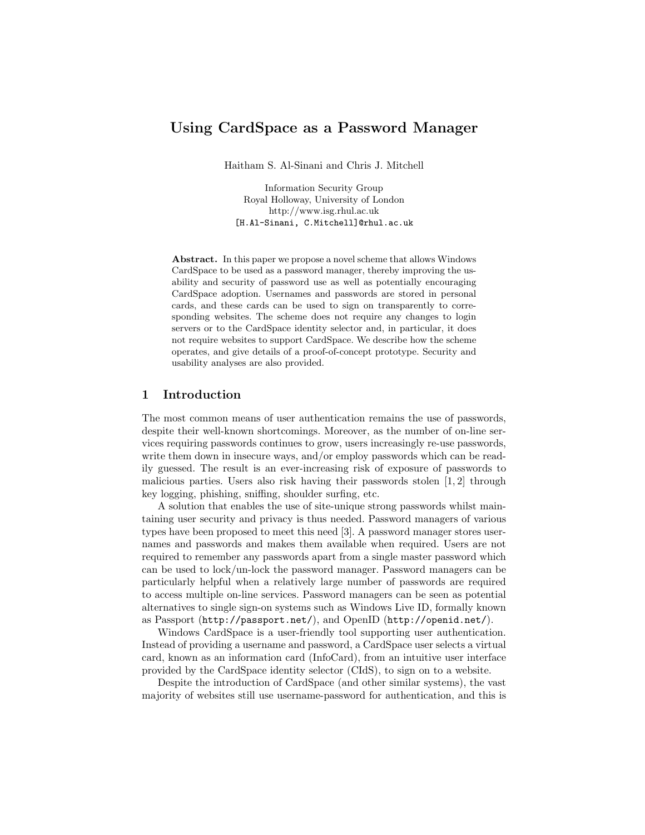# Using CardSpace as a Password Manager

Haitham S. Al-Sinani and Chris J. Mitchell

Information Security Group Royal Holloway, University of London http://www.isg.rhul.ac.uk [H.Al-Sinani, C.Mitchell]@rhul.ac.uk

Abstract. In this paper we propose a novel scheme that allows Windows CardSpace to be used as a password manager, thereby improving the usability and security of password use as well as potentially encouraging CardSpace adoption. Usernames and passwords are stored in personal cards, and these cards can be used to sign on transparently to corresponding websites. The scheme does not require any changes to login servers or to the CardSpace identity selector and, in particular, it does not require websites to support CardSpace. We describe how the scheme operates, and give details of a proof-of-concept prototype. Security and usability analyses are also provided.

## 1 Introduction

The most common means of user authentication remains the use of passwords, despite their well-known shortcomings. Moreover, as the number of on-line services requiring passwords continues to grow, users increasingly re-use passwords, write them down in insecure ways, and/or employ passwords which can be readily guessed. The result is an ever-increasing risk of exposure of passwords to malicious parties. Users also risk having their passwords stolen [1, 2] through key logging, phishing, sniffing, shoulder surfing, etc.

A solution that enables the use of site-unique strong passwords whilst maintaining user security and privacy is thus needed. Password managers of various types have been proposed to meet this need [3]. A password manager stores usernames and passwords and makes them available when required. Users are not required to remember any passwords apart from a single master password which can be used to lock/un-lock the password manager. Password managers can be particularly helpful when a relatively large number of passwords are required to access multiple on-line services. Password managers can be seen as potential alternatives to single sign-on systems such as Windows Live ID, formally known as Passport (http://passport.net/), and OpenID (http://openid.net/).

Windows CardSpace is a user-friendly tool supporting user authentication. Instead of providing a username and password, a CardSpace user selects a virtual card, known as an information card (InfoCard), from an intuitive user interface provided by the CardSpace identity selector (CIdS), to sign on to a website.

Despite the introduction of CardSpace (and other similar systems), the vast majority of websites still use username-password for authentication, and this is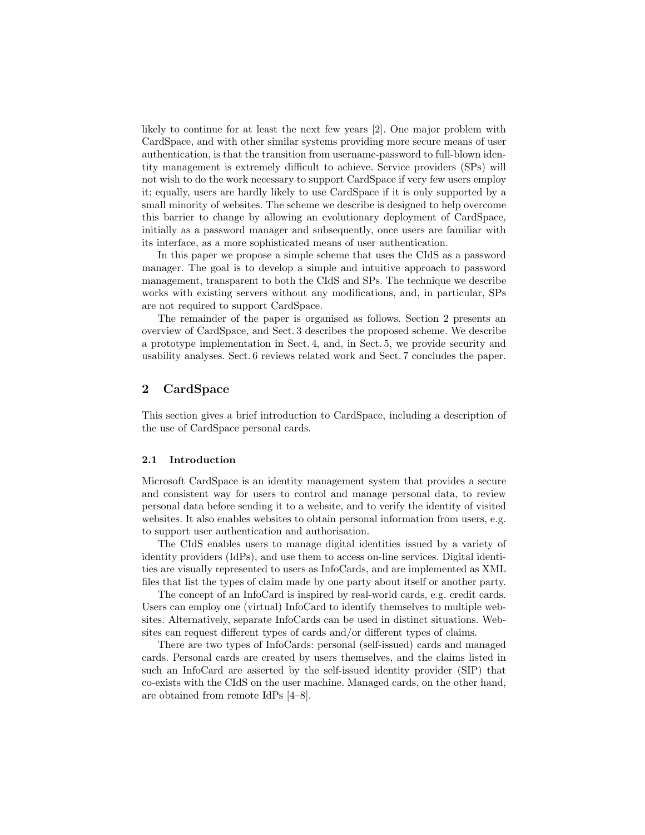likely to continue for at least the next few years [2]. One major problem with CardSpace, and with other similar systems providing more secure means of user authentication, is that the transition from username-password to full-blown identity management is extremely difficult to achieve. Service providers (SPs) will not wish to do the work necessary to support CardSpace if very few users employ it; equally, users are hardly likely to use CardSpace if it is only supported by a small minority of websites. The scheme we describe is designed to help overcome this barrier to change by allowing an evolutionary deployment of CardSpace, initially as a password manager and subsequently, once users are familiar with its interface, as a more sophisticated means of user authentication.

In this paper we propose a simple scheme that uses the CIdS as a password manager. The goal is to develop a simple and intuitive approach to password management, transparent to both the CIdS and SPs. The technique we describe works with existing servers without any modifications, and, in particular, SPs are not required to support CardSpace.

The remainder of the paper is organised as follows. Section 2 presents an overview of CardSpace, and Sect. 3 describes the proposed scheme. We describe a prototype implementation in Sect. 4, and, in Sect. 5, we provide security and usability analyses. Sect. 6 reviews related work and Sect. 7 concludes the paper.

## 2 CardSpace

This section gives a brief introduction to CardSpace, including a description of the use of CardSpace personal cards.

#### 2.1 Introduction

Microsoft CardSpace is an identity management system that provides a secure and consistent way for users to control and manage personal data, to review personal data before sending it to a website, and to verify the identity of visited websites. It also enables websites to obtain personal information from users, e.g. to support user authentication and authorisation.

The CIdS enables users to manage digital identities issued by a variety of identity providers (IdPs), and use them to access on-line services. Digital identities are visually represented to users as InfoCards, and are implemented as XML files that list the types of claim made by one party about itself or another party.

The concept of an InfoCard is inspired by real-world cards, e.g. credit cards. Users can employ one (virtual) InfoCard to identify themselves to multiple websites. Alternatively, separate InfoCards can be used in distinct situations. Websites can request different types of cards and/or different types of claims.

There are two types of InfoCards: personal (self-issued) cards and managed cards. Personal cards are created by users themselves, and the claims listed in such an InfoCard are asserted by the self-issued identity provider (SIP) that co-exists with the CIdS on the user machine. Managed cards, on the other hand, are obtained from remote IdPs [4–8].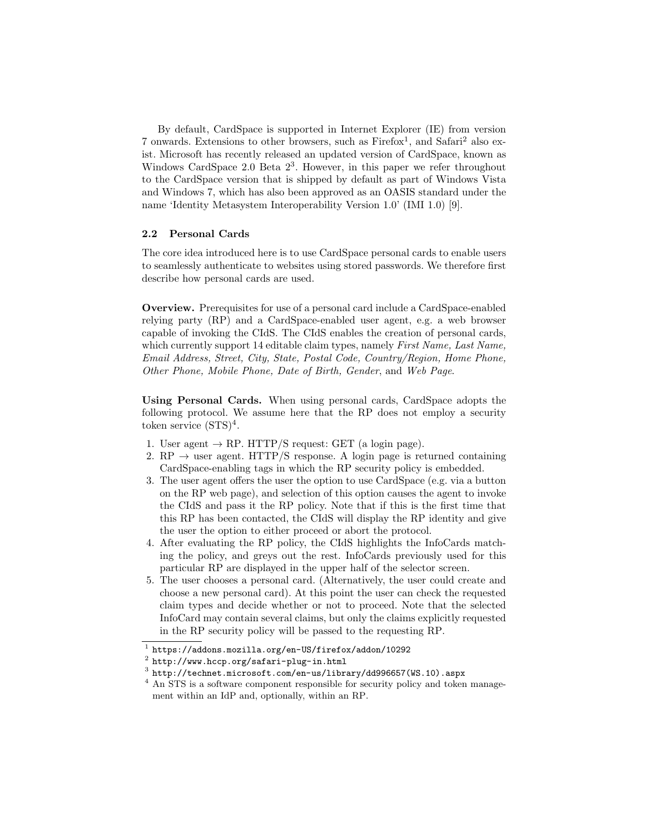By default, CardSpace is supported in Internet Explorer (IE) from version 7 onwards. Extensions to other browsers, such as Firefox<sup>1</sup> , and Safari<sup>2</sup> also exist. Microsoft has recently released an updated version of CardSpace, known as Windows CardSpace 2.0 Beta  $2<sup>3</sup>$ . However, in this paper we refer throughout to the CardSpace version that is shipped by default as part of Windows Vista and Windows 7, which has also been approved as an OASIS standard under the name 'Identity Metasystem Interoperability Version 1.0' (IMI 1.0) [9].

### 2.2 Personal Cards

The core idea introduced here is to use CardSpace personal cards to enable users to seamlessly authenticate to websites using stored passwords. We therefore first describe how personal cards are used.

Overview. Prerequisites for use of a personal card include a CardSpace-enabled relying party (RP) and a CardSpace-enabled user agent, e.g. a web browser capable of invoking the CIdS. The CIdS enables the creation of personal cards, which currently support 14 editable claim types, namely *First Name*, *Last Name*, Email Address, Street, City, State, Postal Code, Country/Region, Home Phone, Other Phone, Mobile Phone, Date of Birth, Gender, and Web Page.

Using Personal Cards. When using personal cards, CardSpace adopts the following protocol. We assume here that the RP does not employ a security token service  $(STS)^4$ .

- 1. User agent  $\rightarrow$  RP. HTTP/S request: GET (a login page).
- 2. RP  $\rightarrow$  user agent. HTTP/S response. A login page is returned containing CardSpace-enabling tags in which the RP security policy is embedded.
- 3. The user agent offers the user the option to use CardSpace (e.g. via a button on the RP web page), and selection of this option causes the agent to invoke the CIdS and pass it the RP policy. Note that if this is the first time that this RP has been contacted, the CIdS will display the RP identity and give the user the option to either proceed or abort the protocol.
- 4. After evaluating the RP policy, the CIdS highlights the InfoCards matching the policy, and greys out the rest. InfoCards previously used for this particular RP are displayed in the upper half of the selector screen.
- 5. The user chooses a personal card. (Alternatively, the user could create and choose a new personal card). At this point the user can check the requested claim types and decide whether or not to proceed. Note that the selected InfoCard may contain several claims, but only the claims explicitly requested in the RP security policy will be passed to the requesting RP.

<sup>1</sup> https://addons.mozilla.org/en-US/firefox/addon/10292

 $^2$  http://www.hccp.org/safari-plug-in.html

 $^3$  http://technet.microsoft.com/en-us/library/dd996657(WS.10).aspx

<sup>&</sup>lt;sup>4</sup> An STS is a software component responsible for security policy and token management within an IdP and, optionally, within an RP.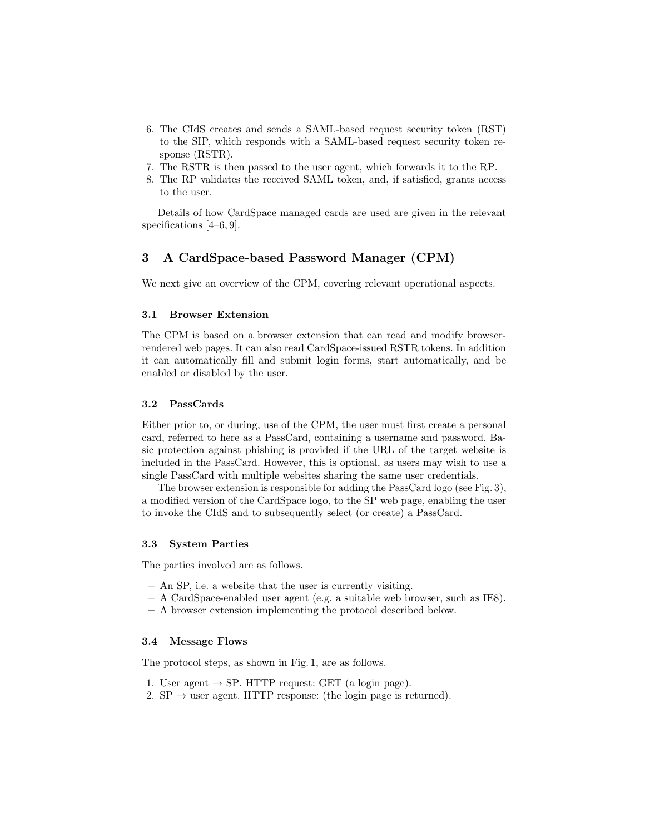- 6. The CIdS creates and sends a SAML-based request security token (RST) to the SIP, which responds with a SAML-based request security token response (RSTR).
- 7. The RSTR is then passed to the user agent, which forwards it to the RP.
- 8. The RP validates the received SAML token, and, if satisfied, grants access to the user.

Details of how CardSpace managed cards are used are given in the relevant specifications [4–6, 9].

## 3 A CardSpace-based Password Manager (CPM)

We next give an overview of the CPM, covering relevant operational aspects.

### 3.1 Browser Extension

The CPM is based on a browser extension that can read and modify browserrendered web pages. It can also read CardSpace-issued RSTR tokens. In addition it can automatically fill and submit login forms, start automatically, and be enabled or disabled by the user.

### 3.2 PassCards

Either prior to, or during, use of the CPM, the user must first create a personal card, referred to here as a PassCard, containing a username and password. Basic protection against phishing is provided if the URL of the target website is included in the PassCard. However, this is optional, as users may wish to use a single PassCard with multiple websites sharing the same user credentials.

The browser extension is responsible for adding the PassCard logo (see Fig. 3), a modified version of the CardSpace logo, to the SP web page, enabling the user to invoke the CIdS and to subsequently select (or create) a PassCard.

### 3.3 System Parties

The parties involved are as follows.

- An SP, i.e. a website that the user is currently visiting.
- A CardSpace-enabled user agent (e.g. a suitable web browser, such as IE8).
- A browser extension implementing the protocol described below.

### 3.4 Message Flows

The protocol steps, as shown in Fig. 1, are as follows.

- 1. User agent  $\rightarrow$  SP. HTTP request: GET (a login page).
- 2.  $SP \rightarrow$  user agent. HTTP response: (the login page is returned).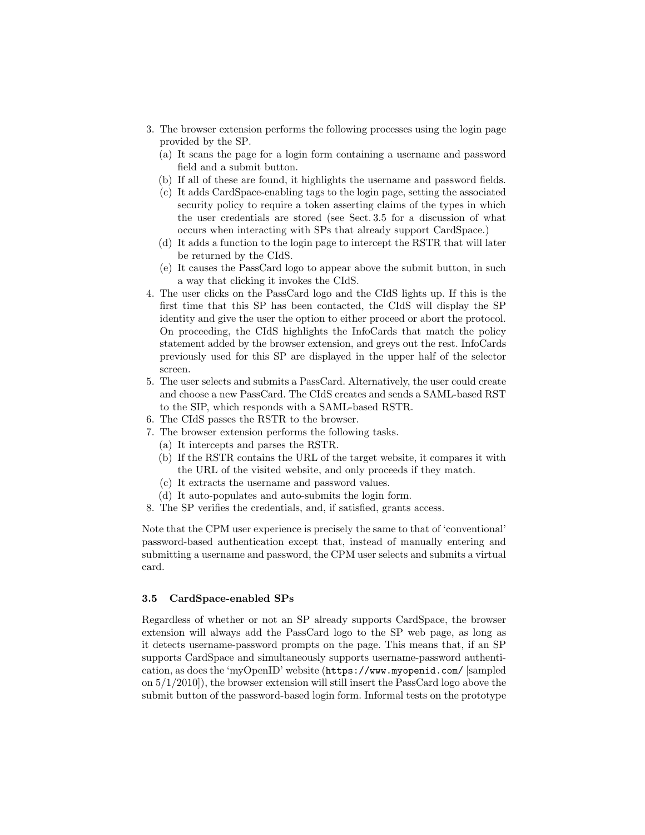- 3. The browser extension performs the following processes using the login page provided by the SP.
	- (a) It scans the page for a login form containing a username and password field and a submit button.
	- (b) If all of these are found, it highlights the username and password fields.
	- (c) It adds CardSpace-enabling tags to the login page, setting the associated security policy to require a token asserting claims of the types in which the user credentials are stored (see Sect. 3.5 for a discussion of what occurs when interacting with SPs that already support CardSpace.)
	- (d) It adds a function to the login page to intercept the RSTR that will later be returned by the CIdS.
	- (e) It causes the PassCard logo to appear above the submit button, in such a way that clicking it invokes the CIdS.
- 4. The user clicks on the PassCard logo and the CIdS lights up. If this is the first time that this SP has been contacted, the CIdS will display the SP identity and give the user the option to either proceed or abort the protocol. On proceeding, the CIdS highlights the InfoCards that match the policy statement added by the browser extension, and greys out the rest. InfoCards previously used for this SP are displayed in the upper half of the selector screen.
- 5. The user selects and submits a PassCard. Alternatively, the user could create and choose a new PassCard. The CIdS creates and sends a SAML-based RST to the SIP, which responds with a SAML-based RSTR.
- 6. The CIdS passes the RSTR to the browser.
- 7. The browser extension performs the following tasks.
	- (a) It intercepts and parses the RSTR.
	- (b) If the RSTR contains the URL of the target website, it compares it with the URL of the visited website, and only proceeds if they match.
	- (c) It extracts the username and password values.
	- (d) It auto-populates and auto-submits the login form.
- 8. The SP verifies the credentials, and, if satisfied, grants access.

Note that the CPM user experience is precisely the same to that of 'conventional' password-based authentication except that, instead of manually entering and submitting a username and password, the CPM user selects and submits a virtual card.

### 3.5 CardSpace-enabled SPs

Regardless of whether or not an SP already supports CardSpace, the browser extension will always add the PassCard logo to the SP web page, as long as it detects username-password prompts on the page. This means that, if an SP supports CardSpace and simultaneously supports username-password authentication, as does the 'myOpenID' website (https://www.myopenid.com/ [sampled on 5/1/2010]), the browser extension will still insert the PassCard logo above the submit button of the password-based login form. Informal tests on the prototype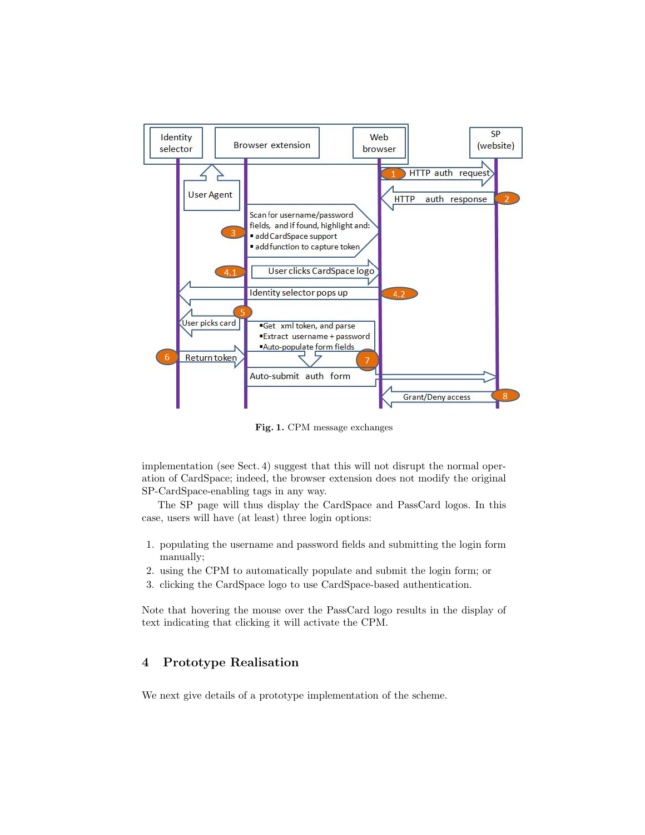

Fig. 1. CPM message exchanges

implementation (see Sect. 4) suggest that this will not disrupt the normal operation of CardSpace; indeed, the browser extension does not modify the original SP-CardSpace-enabling tags in any way.

The SP page will thus display the CardSpace and PassCard logos. In this case, users will have (at least) three login options:

- 1. populating the username and password fields and submitting the login form manually;
- 2. using the CPM to automatically populate and submit the login form; or
- 3. clicking the CardSpace logo to use CardSpace-based authentication.

Note that hovering the mouse over the PassCard logo results in the display of text indicating that clicking it will activate the CPM.

## 4 Prototype Realisation

We next give details of a prototype implementation of the scheme.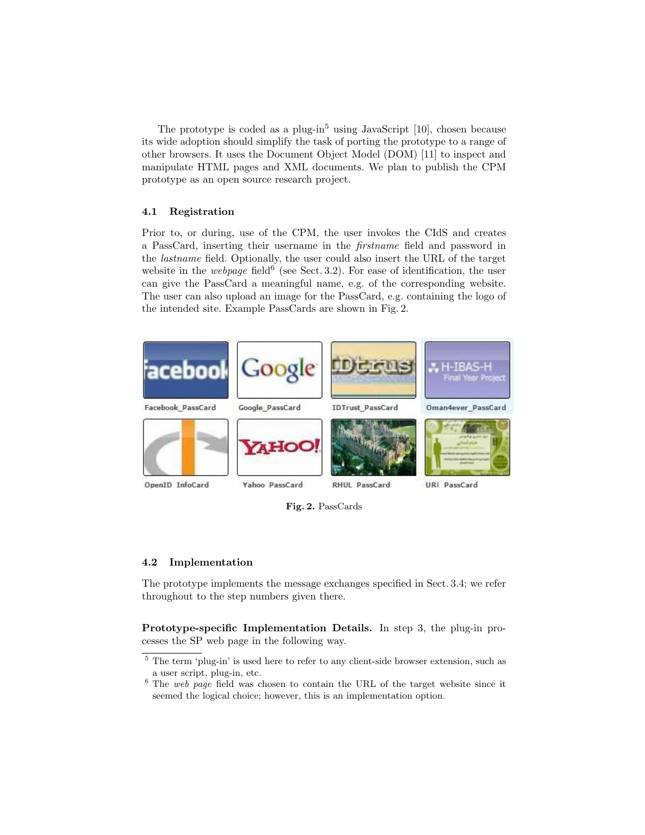The prototype is coded as a plug-in<sup>5</sup> using JavaScript [10], chosen because its wide adoption should simplify the task of porting the prototype to a range of other browsers. It uses the Document Object Model (DOM) [11] to inspect and manipulate HTML pages and XML documents. We plan to publish the CPM prototype as an open source research project.

### 4.1 Registration

Prior to, or during, use of the CPM, the user invokes the CIdS and creates a PassCard, inserting their username in the firstname field and password in the lastname field. Optionally, the user could also insert the URL of the target website in the *webpage* field<sup>6</sup> (see Sect. 3.2). For ease of identification, the user can give the PassCard a meaningful name, e.g. of the corresponding website. The user can also upload an image for the PassCard, e.g. containing the logo of the intended site. Example PassCards are shown in Fig. 2.



Fig. 2. PassCards

### 4.2 Implementation

The prototype implements the message exchanges specified in Sect. 3.4; we refer throughout to the step numbers given there.

Prototype-specific Implementation Details. In step 3, the plug-in processes the SP web page in the following way.

 $^5$  The term 'plug-in' is used here to refer to any client-side browser extension, such as a user script, plug-in, etc.

 $6$  The web page field was chosen to contain the URL of the target website since it seemed the logical choice; however, this is an implementation option.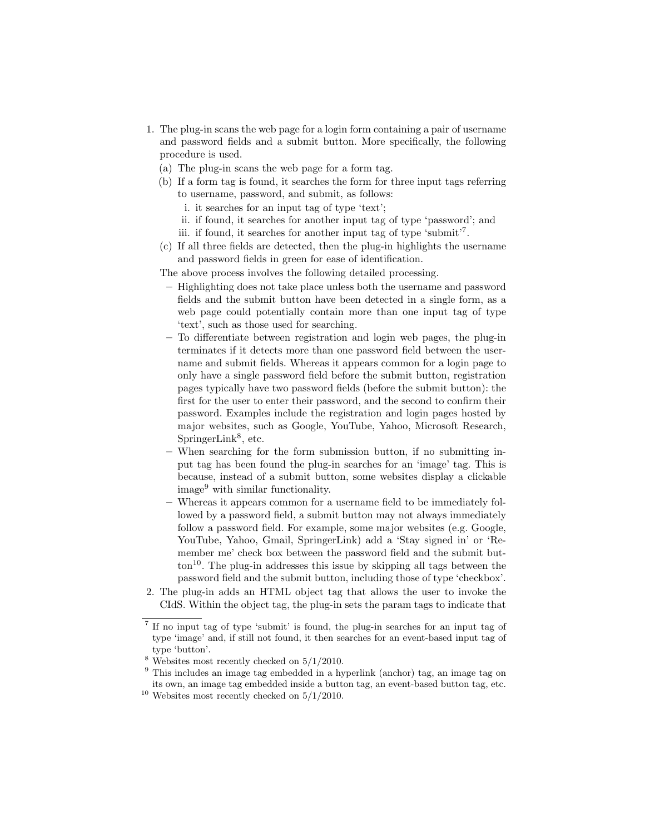- 1. The plug-in scans the web page for a login form containing a pair of username and password fields and a submit button. More specifically, the following procedure is used.
	- (a) The plug-in scans the web page for a form tag.
	- (b) If a form tag is found, it searches the form for three input tags referring to username, password, and submit, as follows:
		- i. it searches for an input tag of type 'text';
		- ii. if found, it searches for another input tag of type 'password'; and
		- iii. if found, it searches for another input tag of type 'submit'<sup>7</sup>.
	- (c) If all three fields are detected, then the plug-in highlights the username and password fields in green for ease of identification.

The above process involves the following detailed processing.

- Highlighting does not take place unless both the username and password fields and the submit button have been detected in a single form, as a web page could potentially contain more than one input tag of type 'text', such as those used for searching.
- To differentiate between registration and login web pages, the plug-in terminates if it detects more than one password field between the username and submit fields. Whereas it appears common for a login page to only have a single password field before the submit button, registration pages typically have two password fields (before the submit button): the first for the user to enter their password, and the second to confirm their password. Examples include the registration and login pages hosted by major websites, such as Google, YouTube, Yahoo, Microsoft Research, SpringerLink<sup>8</sup>, etc.
- When searching for the form submission button, if no submitting input tag has been found the plug-in searches for an 'image' tag. This is because, instead of a submit button, some websites display a clickable image<sup>9</sup> with similar functionality.
- Whereas it appears common for a username field to be immediately followed by a password field, a submit button may not always immediately follow a password field. For example, some major websites (e.g. Google, YouTube, Yahoo, Gmail, SpringerLink) add a 'Stay signed in' or 'Remember me' check box between the password field and the submit but- $\text{tan}^{10}$ . The plug-in addresses this issue by skipping all tags between the password field and the submit button, including those of type 'checkbox'.
- 2. The plug-in adds an HTML object tag that allows the user to invoke the CIdS. Within the object tag, the plug-in sets the param tags to indicate that

<sup>7</sup> If no input tag of type 'submit' is found, the plug-in searches for an input tag of type 'image' and, if still not found, it then searches for an event-based input tag of type 'button'.

 $8$  Websites most recently checked on  $5/1/2010$ .

<sup>9</sup> This includes an image tag embedded in a hyperlink (anchor) tag, an image tag on its own, an image tag embedded inside a button tag, an event-based button tag, etc.

 $10$  Websites most recently checked on  $5/1/2010$ .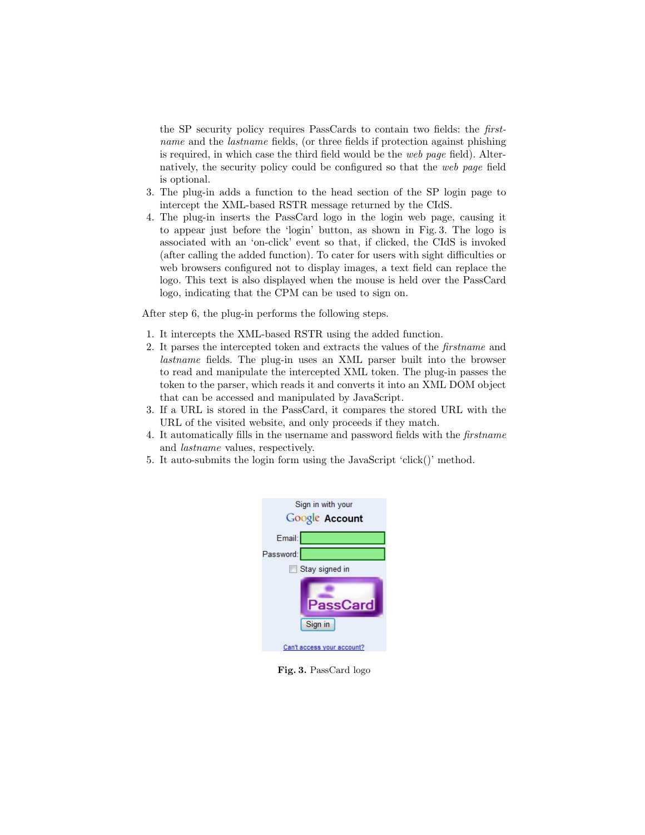the SP security policy requires PassCards to contain two fields: the firstname and the lastname fields, (or three fields if protection against phishing is required, in which case the third field would be the web page field). Alternatively, the security policy could be configured so that the web page field is optional.

- 3. The plug-in adds a function to the head section of the SP login page to intercept the XML-based RSTR message returned by the CIdS.
- 4. The plug-in inserts the PassCard logo in the login web page, causing it to appear just before the 'login' button, as shown in Fig. 3. The logo is associated with an 'on-click' event so that, if clicked, the CIdS is invoked (after calling the added function). To cater for users with sight difficulties or web browsers configured not to display images, a text field can replace the logo. This text is also displayed when the mouse is held over the PassCard logo, indicating that the CPM can be used to sign on.

After step 6, the plug-in performs the following steps.

- 1. It intercepts the XML-based RSTR using the added function.
- 2. It parses the intercepted token and extracts the values of the firstname and lastname fields. The plug-in uses an XML parser built into the browser to read and manipulate the intercepted XML token. The plug-in passes the token to the parser, which reads it and converts it into an XML DOM object that can be accessed and manipulated by JavaScript.
- 3. If a URL is stored in the PassCard, it compares the stored URL with the URL of the visited website, and only proceeds if they match.
- 4. It automatically fills in the username and password fields with the firstname and lastname values, respectively.
- 5. It auto-submits the login form using the JavaScript 'click()' method.

|           | Sign in with your<br>Google Account |
|-----------|-------------------------------------|
| Email:    |                                     |
| Password: |                                     |
|           | Stay signed in                      |
|           | <b>PassCard</b><br>Sign in          |
|           | Can't access your account?          |

Fig. 3. PassCard logo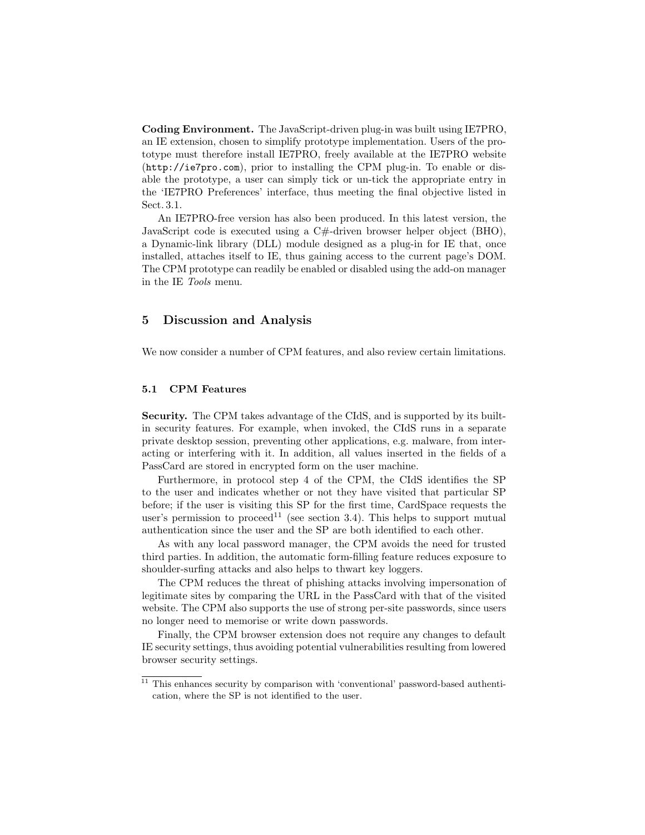Coding Environment. The JavaScript-driven plug-in was built using IE7PRO, an IE extension, chosen to simplify prototype implementation. Users of the prototype must therefore install IE7PRO, freely available at the IE7PRO website (http://ie7pro.com), prior to installing the CPM plug-in. To enable or disable the prototype, a user can simply tick or un-tick the appropriate entry in the 'IE7PRO Preferences' interface, thus meeting the final objective listed in Sect. 3.1.

An IE7PRO-free version has also been produced. In this latest version, the JavaScript code is executed using a C#-driven browser helper object (BHO), a Dynamic-link library (DLL) module designed as a plug-in for IE that, once installed, attaches itself to IE, thus gaining access to the current page's DOM. The CPM prototype can readily be enabled or disabled using the add-on manager in the IE Tools menu.

## 5 Discussion and Analysis

We now consider a number of CPM features, and also review certain limitations.

### 5.1 CPM Features

Security. The CPM takes advantage of the CIdS, and is supported by its builtin security features. For example, when invoked, the CIdS runs in a separate private desktop session, preventing other applications, e.g. malware, from interacting or interfering with it. In addition, all values inserted in the fields of a PassCard are stored in encrypted form on the user machine.

Furthermore, in protocol step 4 of the CPM, the CIdS identifies the SP to the user and indicates whether or not they have visited that particular SP before; if the user is visiting this SP for the first time, CardSpace requests the user's permission to proceed<sup>11</sup> (see section 3.4). This helps to support mutual authentication since the user and the SP are both identified to each other.

As with any local password manager, the CPM avoids the need for trusted third parties. In addition, the automatic form-filling feature reduces exposure to shoulder-surfing attacks and also helps to thwart key loggers.

The CPM reduces the threat of phishing attacks involving impersonation of legitimate sites by comparing the URL in the PassCard with that of the visited website. The CPM also supports the use of strong per-site passwords, since users no longer need to memorise or write down passwords.

Finally, the CPM browser extension does not require any changes to default IE security settings, thus avoiding potential vulnerabilities resulting from lowered browser security settings.

 $11$  This enhances security by comparison with 'conventional' password-based authentication, where the SP is not identified to the user.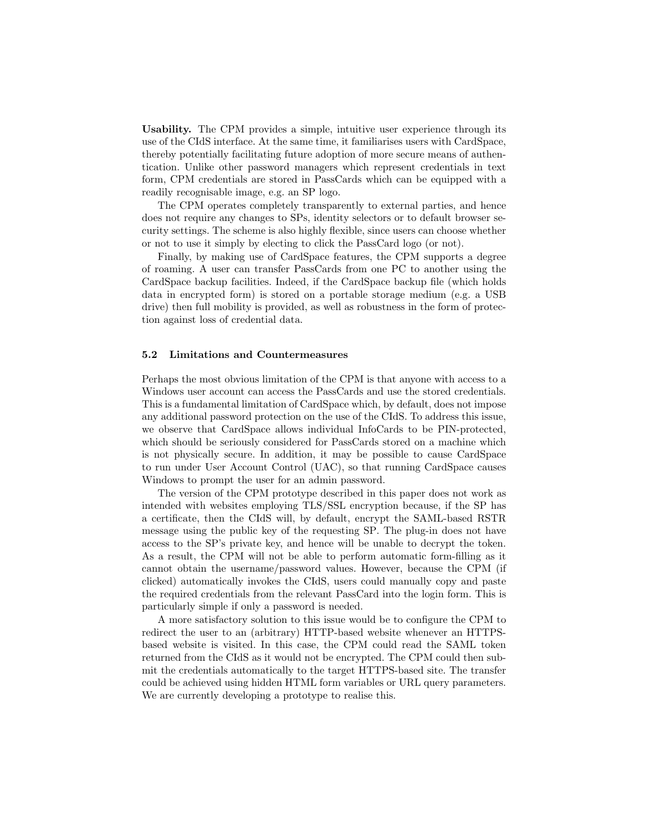Usability. The CPM provides a simple, intuitive user experience through its use of the CIdS interface. At the same time, it familiarises users with CardSpace, thereby potentially facilitating future adoption of more secure means of authentication. Unlike other password managers which represent credentials in text form, CPM credentials are stored in PassCards which can be equipped with a readily recognisable image, e.g. an SP logo.

The CPM operates completely transparently to external parties, and hence does not require any changes to SPs, identity selectors or to default browser security settings. The scheme is also highly flexible, since users can choose whether or not to use it simply by electing to click the PassCard logo (or not).

Finally, by making use of CardSpace features, the CPM supports a degree of roaming. A user can transfer PassCards from one PC to another using the CardSpace backup facilities. Indeed, if the CardSpace backup file (which holds data in encrypted form) is stored on a portable storage medium (e.g. a USB drive) then full mobility is provided, as well as robustness in the form of protection against loss of credential data.

### 5.2 Limitations and Countermeasures

Perhaps the most obvious limitation of the CPM is that anyone with access to a Windows user account can access the PassCards and use the stored credentials. This is a fundamental limitation of CardSpace which, by default, does not impose any additional password protection on the use of the CIdS. To address this issue, we observe that CardSpace allows individual InfoCards to be PIN-protected, which should be seriously considered for PassCards stored on a machine which is not physically secure. In addition, it may be possible to cause CardSpace to run under User Account Control (UAC), so that running CardSpace causes Windows to prompt the user for an admin password.

The version of the CPM prototype described in this paper does not work as intended with websites employing TLS/SSL encryption because, if the SP has a certificate, then the CIdS will, by default, encrypt the SAML-based RSTR message using the public key of the requesting SP. The plug-in does not have access to the SP's private key, and hence will be unable to decrypt the token. As a result, the CPM will not be able to perform automatic form-filling as it cannot obtain the username/password values. However, because the CPM (if clicked) automatically invokes the CIdS, users could manually copy and paste the required credentials from the relevant PassCard into the login form. This is particularly simple if only a password is needed.

A more satisfactory solution to this issue would be to configure the CPM to redirect the user to an (arbitrary) HTTP-based website whenever an HTTPSbased website is visited. In this case, the CPM could read the SAML token returned from the CIdS as it would not be encrypted. The CPM could then submit the credentials automatically to the target HTTPS-based site. The transfer could be achieved using hidden HTML form variables or URL query parameters. We are currently developing a prototype to realise this.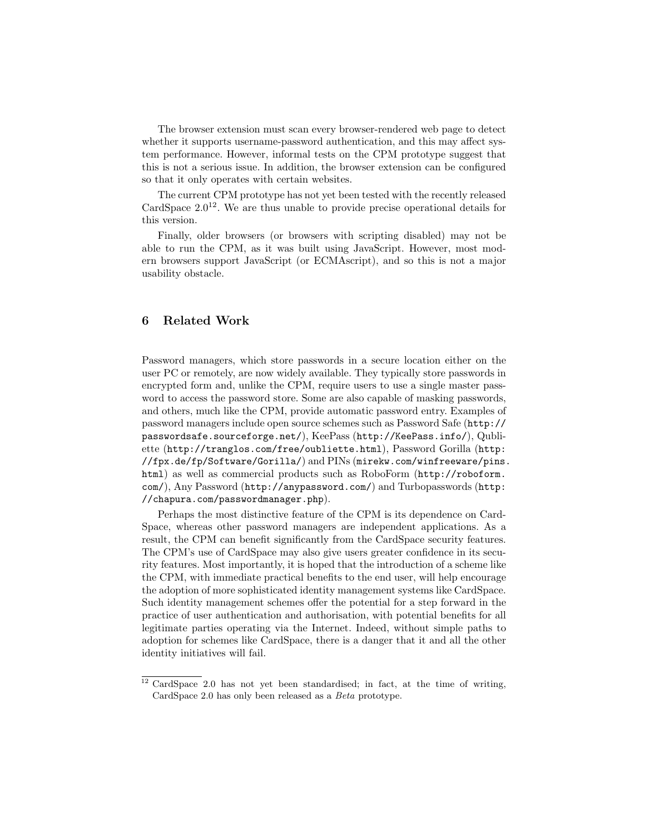The browser extension must scan every browser-rendered web page to detect whether it supports username-password authentication, and this may affect system performance. However, informal tests on the CPM prototype suggest that this is not a serious issue. In addition, the browser extension can be configured so that it only operates with certain websites.

The current CPM prototype has not yet been tested with the recently released CardSpace  $2.0^{12}$ . We are thus unable to provide precise operational details for this version.

Finally, older browsers (or browsers with scripting disabled) may not be able to run the CPM, as it was built using JavaScript. However, most modern browsers support JavaScript (or ECMAscript), and so this is not a major usability obstacle.

## 6 Related Work

Password managers, which store passwords in a secure location either on the user PC or remotely, are now widely available. They typically store passwords in encrypted form and, unlike the CPM, require users to use a single master password to access the password store. Some are also capable of masking passwords, and others, much like the CPM, provide automatic password entry. Examples of password managers include open source schemes such as Password Safe (http:// passwordsafe.sourceforge.net/), KeePass (http://KeePass.info/), Qubliette (http://tranglos.com/free/oubliette.html), Password Gorilla (http: //fpx.de/fp/Software/Gorilla/) and PINs (mirekw.com/winfreeware/pins. html) as well as commercial products such as RoboForm (http://roboform. com/), Any Password (http://anypassword.com/) and Turbopasswords (http: //chapura.com/passwordmanager.php).

Perhaps the most distinctive feature of the CPM is its dependence on Card-Space, whereas other password managers are independent applications. As a result, the CPM can benefit significantly from the CardSpace security features. The CPM's use of CardSpace may also give users greater confidence in its security features. Most importantly, it is hoped that the introduction of a scheme like the CPM, with immediate practical benefits to the end user, will help encourage the adoption of more sophisticated identity management systems like CardSpace. Such identity management schemes offer the potential for a step forward in the practice of user authentication and authorisation, with potential benefits for all legitimate parties operating via the Internet. Indeed, without simple paths to adoption for schemes like CardSpace, there is a danger that it and all the other identity initiatives will fail.

 $12$  CardSpace 2.0 has not yet been standardised; in fact, at the time of writing, CardSpace 2.0 has only been released as a Beta prototype.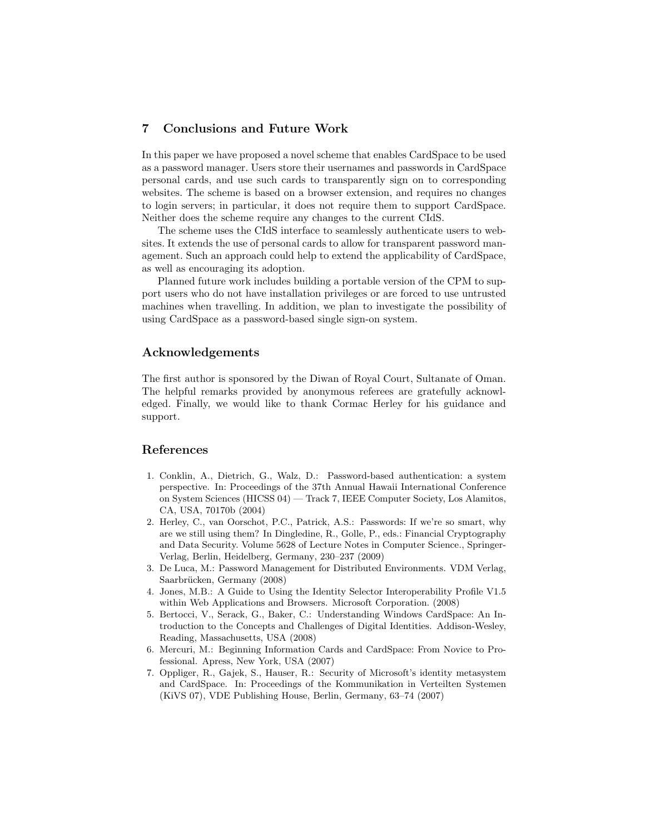## 7 Conclusions and Future Work

In this paper we have proposed a novel scheme that enables CardSpace to be used as a password manager. Users store their usernames and passwords in CardSpace personal cards, and use such cards to transparently sign on to corresponding websites. The scheme is based on a browser extension, and requires no changes to login servers; in particular, it does not require them to support CardSpace. Neither does the scheme require any changes to the current CIdS.

The scheme uses the CIdS interface to seamlessly authenticate users to websites. It extends the use of personal cards to allow for transparent password management. Such an approach could help to extend the applicability of CardSpace, as well as encouraging its adoption.

Planned future work includes building a portable version of the CPM to support users who do not have installation privileges or are forced to use untrusted machines when travelling. In addition, we plan to investigate the possibility of using CardSpace as a password-based single sign-on system.

## Acknowledgements

The first author is sponsored by the Diwan of Royal Court, Sultanate of Oman. The helpful remarks provided by anonymous referees are gratefully acknowledged. Finally, we would like to thank Cormac Herley for his guidance and support.

## References

- 1. Conklin, A., Dietrich, G., Walz, D.: Password-based authentication: a system perspective. In: Proceedings of the 37th Annual Hawaii International Conference on System Sciences (HICSS 04) — Track 7, IEEE Computer Society, Los Alamitos, CA, USA, 70170b (2004)
- 2. Herley, C., van Oorschot, P.C., Patrick, A.S.: Passwords: If we're so smart, why are we still using them? In Dingledine, R., Golle, P., eds.: Financial Cryptography and Data Security. Volume 5628 of Lecture Notes in Computer Science., Springer-Verlag, Berlin, Heidelberg, Germany, 230–237 (2009)
- 3. De Luca, M.: Password Management for Distributed Environments. VDM Verlag, Saarbrücken, Germany (2008)
- 4. Jones, M.B.: A Guide to Using the Identity Selector Interoperability Profile V1.5 within Web Applications and Browsers. Microsoft Corporation. (2008)
- 5. Bertocci, V., Serack, G., Baker, C.: Understanding Windows CardSpace: An Introduction to the Concepts and Challenges of Digital Identities. Addison-Wesley, Reading, Massachusetts, USA (2008)
- 6. Mercuri, M.: Beginning Information Cards and CardSpace: From Novice to Professional. Apress, New York, USA (2007)
- 7. Oppliger, R., Gajek, S., Hauser, R.: Security of Microsoft's identity metasystem and CardSpace. In: Proceedings of the Kommunikation in Verteilten Systemen (KiVS 07), VDE Publishing House, Berlin, Germany, 63–74 (2007)